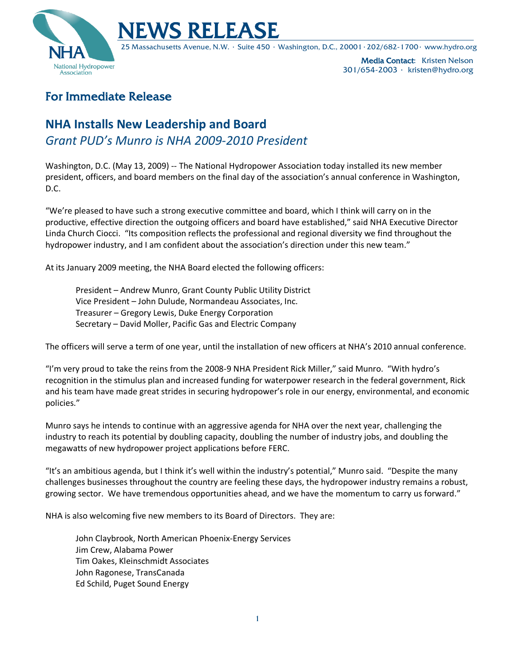



25 Massachusetts Avenue, N.W. ∙ Suite 450 ∙ Washington, D.C., 20001∙202/682-1700∙ www.hydro.org

Media Contact: Kristen Nelson 301/654-2003 ∙ kristen@hydro.org

## For Immediate Release

## **NHA Installs New Leadership and Board** *Grant PUD's Munro is NHA 2009-2010 President*

Washington, D.C. (May 13, 2009) -- The National Hydropower Association today installed its new member president, officers, and board members on the final day of the association's annual conference in Washington, D.C.

"We're pleased to have such a strong executive committee and board, which I think will carry on in the productive, effective direction the outgoing officers and board have established," said NHA Executive Director Linda Church Ciocci. "Its composition reflects the professional and regional diversity we find throughout the hydropower industry, and I am confident about the association's direction under this new team."

At its January 2009 meeting, the NHA Board elected the following officers:

President – Andrew Munro, Grant County Public Utility District Vice President – John Dulude, Normandeau Associates, Inc. Treasurer – Gregory Lewis, Duke Energy Corporation Secretary – David Moller, Pacific Gas and Electric Company

The officers will serve a term of one year, until the installation of new officers at NHA's 2010 annual conference.

"I'm very proud to take the reins from the 2008-9 NHA President Rick Miller," said Munro. "With hydro's recognition in the stimulus plan and increased funding for waterpower research in the federal government, Rick and his team have made great strides in securing hydropower's role in our energy, environmental, and economic policies."

Munro says he intends to continue with an aggressive agenda for NHA over the next year, challenging the industry to reach its potential by doubling capacity, doubling the number of industry jobs, and doubling the megawatts of new hydropower project applications before FERC.

"It's an ambitious agenda, but I think it's well within the industry's potential," Munro said. "Despite the many challenges businesses throughout the country are feeling these days, the hydropower industry remains a robust, growing sector. We have tremendous opportunities ahead, and we have the momentum to carry us forward."

NHA is also welcoming five new members to its Board of Directors. They are:

John Claybrook, North American Phoenix-Energy Services Jim Crew, Alabama Power Tim Oakes, Kleinschmidt Associates John Ragonese, TransCanada Ed Schild, Puget Sound Energy